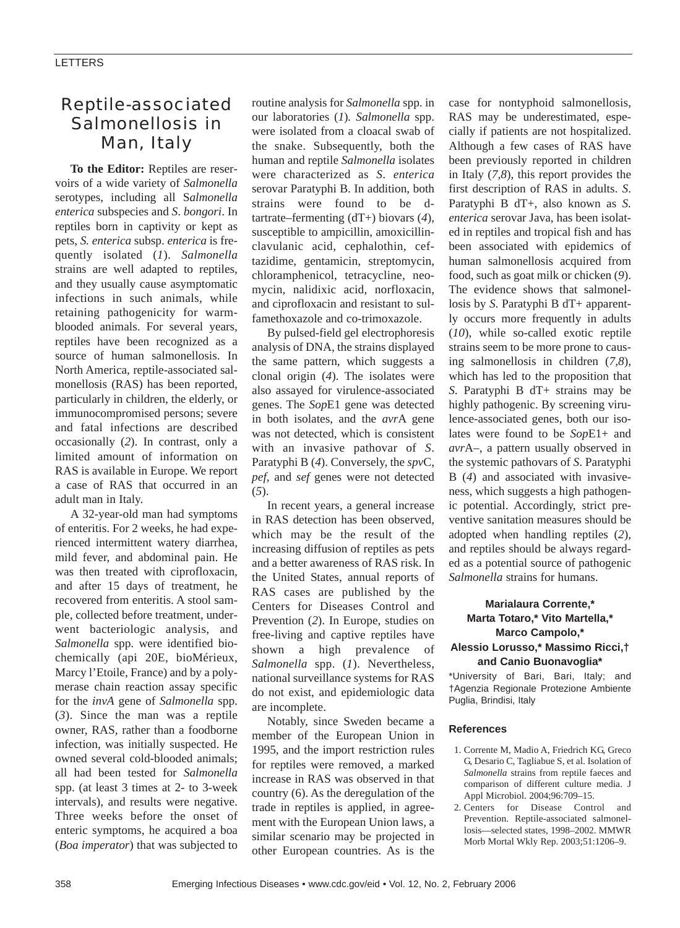## Reptile-associated Salmonellosis in Man, Italy

**To the Editor:** Reptiles are reservoirs of a wide variety of *Salmonella* serotypes, including all S*almonella enterica* subspecies and *S*. *bongori*. In reptiles born in captivity or kept as pets, *S. enterica* subsp. *enterica* is frequently isolated (*1*). *Salmonella* strains are well adapted to reptiles, and they usually cause asymptomatic infections in such animals, while retaining pathogenicity for warmblooded animals. For several years, reptiles have been recognized as a source of human salmonellosis. In North America, reptile-associated salmonellosis (RAS) has been reported, particularly in children, the elderly, or immunocompromised persons; severe and fatal infections are described occasionally (*2*). In contrast, only a limited amount of information on RAS is available in Europe. We report a case of RAS that occurred in an adult man in Italy.

A 32-year-old man had symptoms of enteritis. For 2 weeks, he had experienced intermittent watery diarrhea, mild fever, and abdominal pain. He was then treated with ciprofloxacin, and after 15 days of treatment, he recovered from enteritis. A stool sample, collected before treatment, underwent bacteriologic analysis, and *Salmonella* spp. were identified biochemically (api 20E, bioMérieux, Marcy l'Etoile, France) and by a polymerase chain reaction assay specific for the *invA* gene of *Salmonella* spp. (*3*). Since the man was a reptile owner, RAS, rather than a foodborne infection, was initially suspected. He owned several cold-blooded animals; all had been tested for *Salmonella* spp. (at least 3 times at 2- to 3-week intervals), and results were negative. Three weeks before the onset of enteric symptoms, he acquired a boa (*Boa imperator*) that was subjected to

routine analysis for *Salmonella* spp. in our laboratories (*1*)*. Salmonella* spp. were isolated from a cloacal swab of the snake. Subsequently, both the human and reptile *Salmonella* isolates were characterized as *S*. *enterica* serovar Paratyphi B. In addition, both strains were found to be dtartrate–fermenting (dT+) biovars (*4*), susceptible to ampicillin, amoxicillinclavulanic acid, cephalothin, ceftazidime, gentamicin, streptomycin, chloramphenicol, tetracycline, neomycin, nalidixic acid, norfloxacin, and ciprofloxacin and resistant to sulfamethoxazole and co-trimoxazole.

By pulsed-field gel electrophoresis analysis of DNA, the strains displayed the same pattern, which suggests a clonal origin (*4*). The isolates were also assayed for virulence-associated genes. The *Sop*E1 gene was detected in both isolates, and the *avr*A gene was not detected, which is consistent with an invasive pathovar of *S*. Paratyphi B (*4*). Conversely, the *spv*C, *pef*, and *sef* genes were not detected (*5*).

In recent years, a general increase in RAS detection has been observed, which may be the result of the increasing diffusion of reptiles as pets and a better awareness of RAS risk. In the United States, annual reports of RAS cases are published by the Centers for Diseases Control and Prevention (*2*). In Europe, studies on free-living and captive reptiles have shown a high prevalence of *Salmonella* spp. (*1*). Nevertheless, national surveillance systems for RAS do not exist, and epidemiologic data are incomplete.

Notably, since Sweden became a member of the European Union in 1995, and the import restriction rules for reptiles were removed, a marked increase in RAS was observed in that country (6). As the deregulation of the trade in reptiles is applied, in agreement with the European Union laws, a similar scenario may be projected in other European countries. As is the case for nontyphoid salmonellosis, RAS may be underestimated, especially if patients are not hospitalized. Although a few cases of RAS have been previously reported in children in Italy (*7,8*), this report provides the first description of RAS in adults. *S*. Paratyphi B dT+, also known as *S. enterica* serovar Java, has been isolated in reptiles and tropical fish and has been associated with epidemics of human salmonellosis acquired from food, such as goat milk or chicken (*9*). The evidence shows that salmonellosis by *S*. Paratyphi B dT+ apparently occurs more frequently in adults (*10*), while so-called exotic reptile strains seem to be more prone to causing salmonellosis in children (*7,8*), which has led to the proposition that *S*. Paratyphi B dT+ strains may be highly pathogenic. By screening virulence-associated genes, both our isolates were found to be *Sop*E1+ and *avr*A–, a pattern usually observed in the systemic pathovars of *S*. Paratyphi B (*4*) and associated with invasiveness, which suggests a high pathogenic potential. Accordingly, strict preventive sanitation measures should be adopted when handling reptiles (*2*), and reptiles should be always regarded as a potential source of pathogenic *Salmonella* strains for humans.

## **Marialaura Corrente,\* Marta Totaro,\* Vito Martella,\* Marco Campolo,\* Alessio Lorusso,\* Massimo Ricci,† and Canio Buonavoglia\***

\*University of Bari, Bari, Italy; and †Agenzia Regionale Protezione Ambiente Puglia, Brindisi, Italy

## **References**

- 1. Corrente M, Madio A, Friedrich KG, Greco G, Desario C, Tagliabue S, et al. Isolation of *Salmonella* strains from reptile faeces and comparison of different culture media. J Appl Microbiol. 2004;96:709–15.
- 2. Centers for Disease Control and Prevention. Reptile-associated salmonellosis—selected states, 1998–2002. MMWR Morb Mortal Wkly Rep. 2003;51:1206–9.